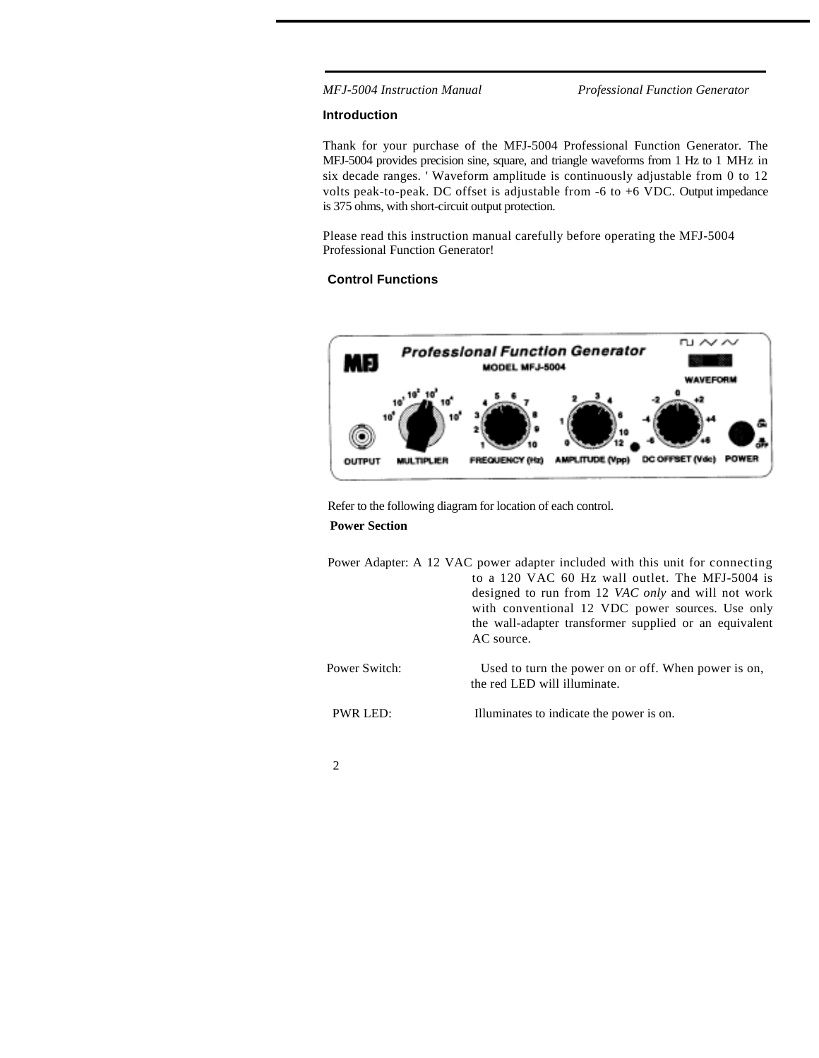*MFJ-5004 Instruction Manual Professional Function Generator*

#### **Introduction**

Thank for your purchase of the MFJ-5004 Professional Function Generator. The MFJ-5004 provides precision sine, square, and triangle waveforms from 1 Hz to 1 MHz in six decade ranges. ' Waveform amplitude is continuously adjustable from 0 to 12 volts peak-to-peak. DC offset is adjustable from -6 to +6 VDC. Output impedance is 375 ohms, with short-circuit output protection.

Please read this instruction manual carefully before operating the MFJ-5004 Professional Function Generator!

## **Control Functions**



Refer to the following diagram for location of each control.

### **Power Section**

Power Adapter: A 12 VAC power adapter included with this unit for connecting to a 120 VAC 60 Hz wall outlet. The MFJ-5004 is designed to run from 12 *VAC only* and will not work with conventional 12 VDC power sources. Use only the wall-adapter transformer supplied or an equivalent AC source. Power Switch: Used to turn the power on or off. When power is on, the red LED will illuminate. PWR LED: Illuminates to indicate the power is on.

2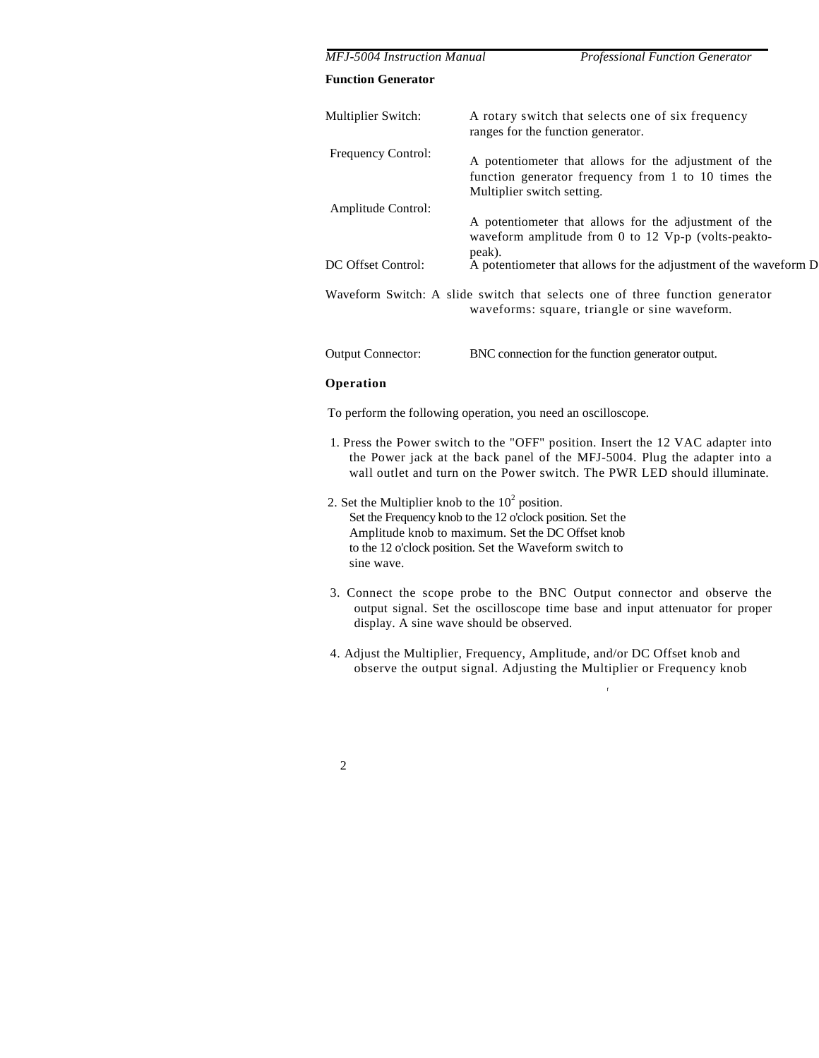| <b>MFJ-5004 Instruction Manual</b> | <b>Professional Function Generator</b>                                                                                                     |
|------------------------------------|--------------------------------------------------------------------------------------------------------------------------------------------|
| <b>Function Generator</b>          |                                                                                                                                            |
| Multiplier Switch:                 | A rotary switch that selects one of six frequency<br>ranges for the function generator.                                                    |
| <b>Frequency Control:</b>          | A potentiometer that allows for the adjustment of the<br>function generator frequency from 1 to 10 times the<br>Multiplier switch setting. |
| Amplitude Control:                 | A potentiometer that allows for the adjustment of the<br>waveform amplitude from 0 to 12 Vp-p (volts-peakto-<br>peak).                     |
| DC Offset Control:                 | A potentiometer that allows for the adjustment of the waveform D                                                                           |
|                                    | Waveform Switch: A slide switch that selects one of three function generator<br>waveforms: square, triangle or sine waveform.              |
| <b>Output Connector:</b>           | BNC connection for the function generator output.                                                                                          |

## **Operation**

To perform the following operation, you need an oscilloscope.

- 1. Press the Power switch to the "OFF" position. Insert the 12 VAC adapter into the Power jack at the back panel of the MFJ-5004. Plug the adapter into a wall outlet and turn on the Power switch. The PWR LED should illuminate.
- 2. Set the Multiplier knob to the  $10^2$  position. Set the Frequency knob to the 12 o'clock position. Set the Amplitude knob to maximum. Set the DC Offset knob to the 12 o'clock position. Set the Waveform switch to sine wave.
- 3. Connect the scope probe to the BNC Output connector and observe the output signal. Set the oscilloscope time base and input attenuator for proper display. A sine wave should be observed.

r

4. Adjust the Multiplier, Frequency, Amplitude, and/or DC Offset knob and observe the output signal. Adjusting the Multiplier or Frequency knob

|   | ۹<br>I |        |
|---|--------|--------|
| × |        | ı<br>I |
|   |        | ٦      |
|   |        |        |
|   |        |        |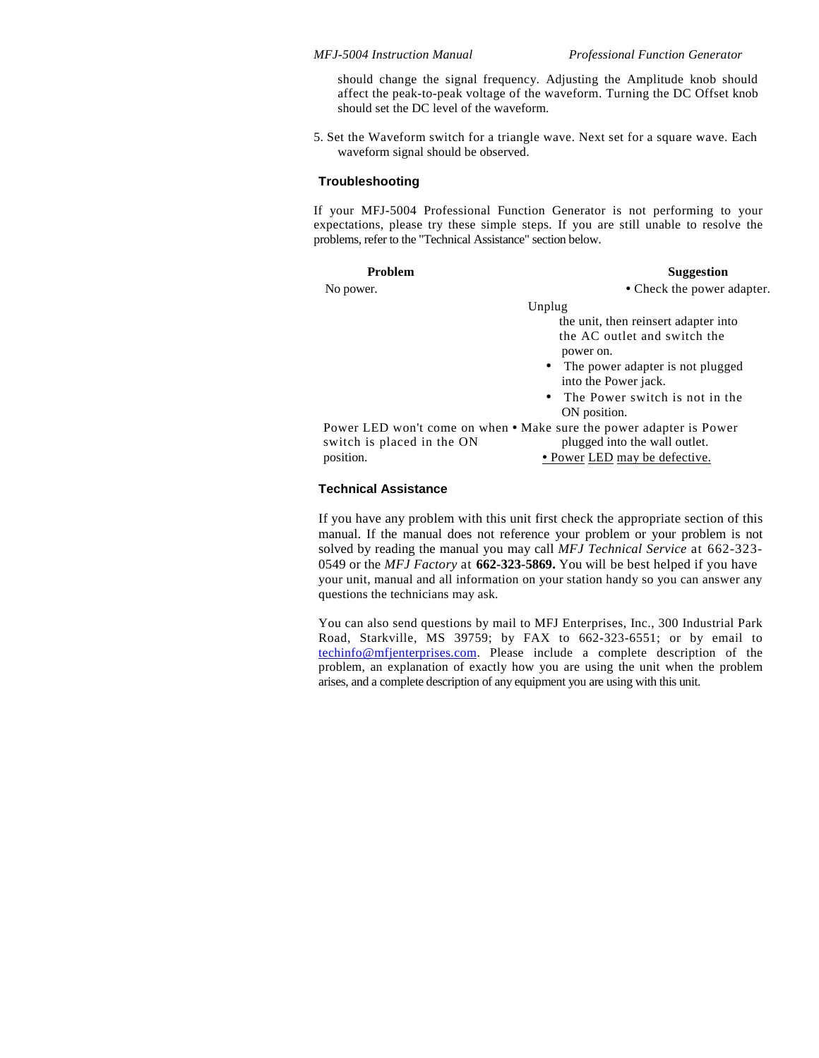should change the signal frequency. Adjusting the Amplitude knob should affect the peak-to-peak voltage of the waveform. Turning the DC Offset knob should set the DC level of the waveform.

5. Set the Waveform switch for a triangle wave. Next set for a square wave. Each waveform signal should be observed.

#### **Troubleshooting**

If your MFJ-5004 Professional Function Generator is not performing to your expectations, please try these simple steps. If you are still unable to resolve the problems, refer to the "Technical Assistance" section below.

| Problem                                                             | <b>Suggestion</b>                             |
|---------------------------------------------------------------------|-----------------------------------------------|
| No power.                                                           | • Check the power adapter.                    |
|                                                                     | Unplug                                        |
|                                                                     | the unit, then reinsert adapter into          |
|                                                                     | the AC outlet and switch the                  |
|                                                                     | power on.                                     |
|                                                                     | The power adapter is not plugged<br>$\bullet$ |
|                                                                     | into the Power jack.                          |
|                                                                     | The Power switch is not in the<br>$\bullet$   |
|                                                                     | ON position.                                  |
| Power LED won't come on when • Make sure the power adapter is Power |                                               |
| switch is placed in the ON                                          | plugged into the wall outlet.                 |
| position.                                                           | <u>• Power LED may be defective.</u>          |
|                                                                     |                                               |

## **Technical Assistance**

If you have any problem with this unit first check the appropriate section of this manual. If the manual does not reference your problem or your problem is not solved by reading the manual you may call *MFJ Technical Service* at 662-323- 0549 or the *MFJ Factory* at **662-323-5869.** You will be best helped if you have your unit, manual and all information on your station handy so you can answer any questions the technicians may ask.

You can also send questions by mail to MFJ Enterprises, Inc., 300 Industrial Park Road, Starkville, MS 39759; by FAX to 662-323-6551; or by email to techinfo@mfjenterprises.com. Please include a complete description of the problem, an explanation of exactly how you are using the unit when the problem arises, and a complete description of any equipment you are using with this unit.